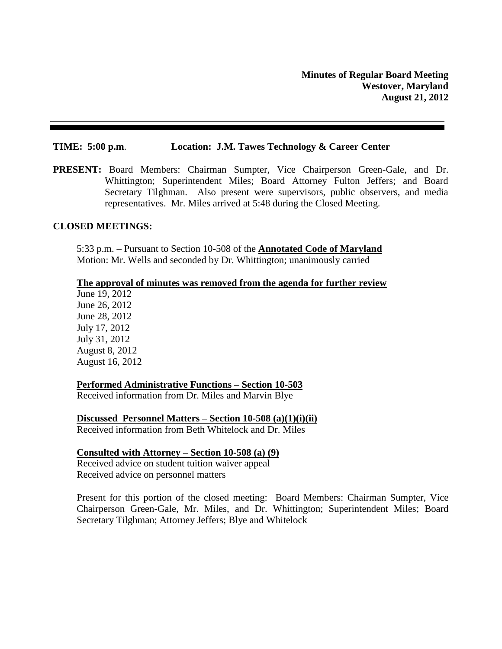#### **TIME: 5:00 p.m**. **Location: J.M. Tawes Technology & Career Center**

**PRESENT:** Board Members: Chairman Sumpter, Vice Chairperson Green-Gale, and Dr. Whittington; Superintendent Miles; Board Attorney Fulton Jeffers; and Board Secretary Tilghman. Also present were supervisors, public observers, and media representatives. Mr. Miles arrived at 5:48 during the Closed Meeting.

### **CLOSED MEETINGS:**

5:33 p.m. – Pursuant to Section 10-508 of the **Annotated Code of Maryland** Motion: Mr. Wells and seconded by Dr. Whittington; unanimously carried

#### **The approval of minutes was removed from the agenda for further review**

June 19, 2012 June 26, 2012 June 28, 2012 July 17, 2012 July 31, 2012 August 8, 2012 August 16, 2012

#### **Performed Administrative Functions – Section 10-503**

Received information from Dr. Miles and Marvin Blye

**Discussed Personnel Matters – Section 10-508 (a)(1)(i)(ii)** Received information from Beth Whitelock and Dr. Miles

#### **Consulted with Attorney – Section 10-508 (a) (9)** Received advice on student tuition waiver appeal

Received advice on personnel matters

Present for this portion of the closed meeting: Board Members: Chairman Sumpter, Vice Chairperson Green-Gale, Mr. Miles, and Dr. Whittington; Superintendent Miles; Board Secretary Tilghman; Attorney Jeffers; Blye and Whitelock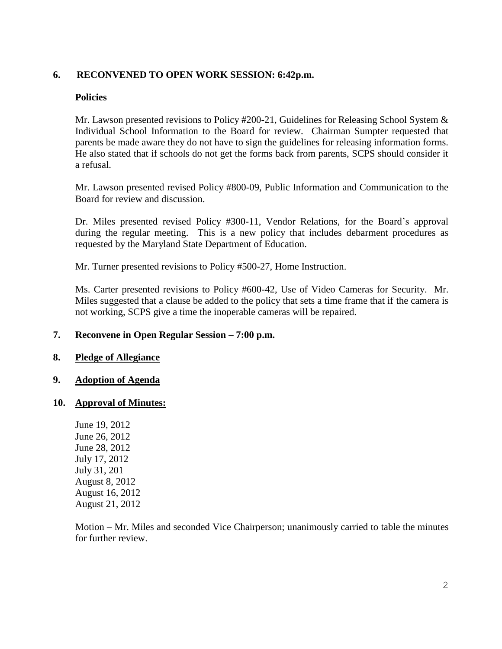# **6. RECONVENED TO OPEN WORK SESSION: 6:42p.m.**

# **Policies**

Mr. Lawson presented revisions to Policy #200-21, Guidelines for Releasing School System & Individual School Information to the Board for review. Chairman Sumpter requested that parents be made aware they do not have to sign the guidelines for releasing information forms. He also stated that if schools do not get the forms back from parents, SCPS should consider it a refusal.

Mr. Lawson presented revised Policy #800-09, Public Information and Communication to the Board for review and discussion.

Dr. Miles presented revised Policy #300-11, Vendor Relations, for the Board's approval during the regular meeting. This is a new policy that includes debarment procedures as requested by the Maryland State Department of Education.

Mr. Turner presented revisions to Policy #500-27, Home Instruction.

Ms. Carter presented revisions to Policy #600-42, Use of Video Cameras for Security. Mr. Miles suggested that a clause be added to the policy that sets a time frame that if the camera is not working, SCPS give a time the inoperable cameras will be repaired.

# **7. Reconvene in Open Regular Session – 7:00 p.m.**

# **8. Pledge of Allegiance**

# **9. Adoption of Agenda**

# **10. Approval of Minutes:**

June 19, 2012 June 26, 2012 June 28, 2012 July 17, 2012 July 31, 201 August 8, 2012 August 16, 2012 August 21, 2012

Motion – Mr. Miles and seconded Vice Chairperson; unanimously carried to table the minutes for further review.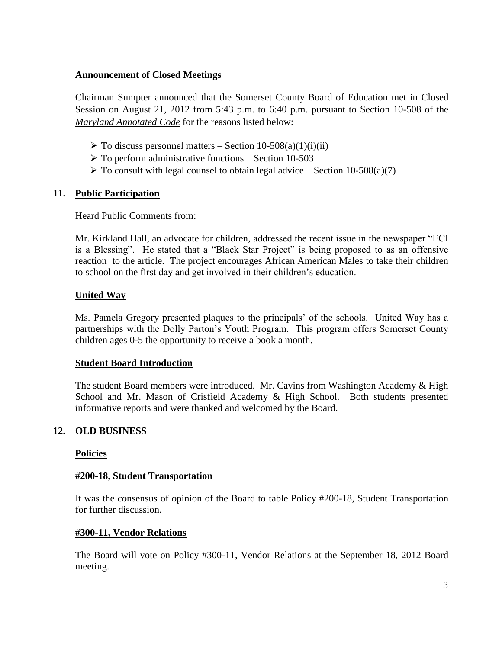# **Announcement of Closed Meetings**

Chairman Sumpter announced that the Somerset County Board of Education met in Closed Session on August 21, 2012 from 5:43 p.m. to 6:40 p.m. pursuant to Section 10-508 of the *Maryland Annotated Code* for the reasons listed below:

- $\triangleright$  To discuss personnel matters Section 10-508(a)(1)(i)(ii)
- $\triangleright$  To perform administrative functions Section 10-503
- $\triangleright$  To consult with legal counsel to obtain legal advice Section 10-508(a)(7)

# **11. Public Participation**

Heard Public Comments from:

Mr. Kirkland Hall, an advocate for children, addressed the recent issue in the newspaper "ECI is a Blessing". He stated that a "Black Star Project" is being proposed to as an offensive reaction to the article. The project encourages African American Males to take their children to school on the first day and get involved in their children's education.

# **United Way**

Ms. Pamela Gregory presented plaques to the principals' of the schools. United Way has a partnerships with the Dolly Parton's Youth Program. This program offers Somerset County children ages 0-5 the opportunity to receive a book a month.

# **Student Board Introduction**

The student Board members were introduced. Mr. Cavins from Washington Academy & High School and Mr. Mason of Crisfield Academy & High School. Both students presented informative reports and were thanked and welcomed by the Board.

# **12. OLD BUSINESS**

# **Policies**

# **#200-18, Student Transportation**

It was the consensus of opinion of the Board to table Policy #200-18, Student Transportation for further discussion.

# **#300-11, Vendor Relations**

The Board will vote on Policy #300-11, Vendor Relations at the September 18, 2012 Board meeting.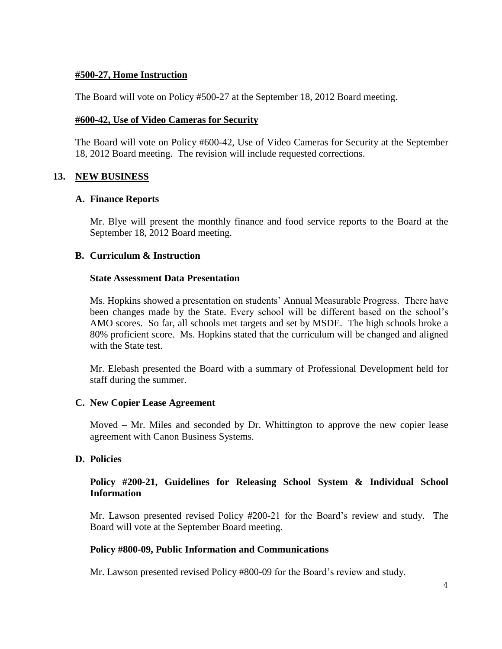### **#500-27, Home Instruction**

The Board will vote on Policy #500-27 at the September 18, 2012 Board meeting.

### **#600-42, Use of Video Cameras for Security**

The Board will vote on Policy #600-42, Use of Video Cameras for Security at the September 18, 2012 Board meeting. The revision will include requested corrections.

# **13. NEW BUSINESS**

### **A. Finance Reports**

Mr. Blye will present the monthly finance and food service reports to the Board at the September 18, 2012 Board meeting.

### **B. Curriculum & Instruction**

#### **State Assessment Data Presentation**

Ms. Hopkins showed a presentation on students' Annual Measurable Progress. There have been changes made by the State. Every school will be different based on the school's AMO scores. So far, all schools met targets and set by MSDE. The high schools broke a 80% proficient score. Ms. Hopkins stated that the curriculum will be changed and aligned with the State test.

Mr. Elebash presented the Board with a summary of Professional Development held for staff during the summer.

# **C. New Copier Lease Agreement**

Moved – Mr. Miles and seconded by Dr. Whittington to approve the new copier lease agreement with Canon Business Systems.

# **D. Policies**

# **Policy #200-21, Guidelines for Releasing School System & Individual School Information**

Mr. Lawson presented revised Policy #200-21 for the Board's review and study. The Board will vote at the September Board meeting.

# **Policy #800-09, Public Information and Communications**

Mr. Lawson presented revised Policy #800-09 for the Board's review and study.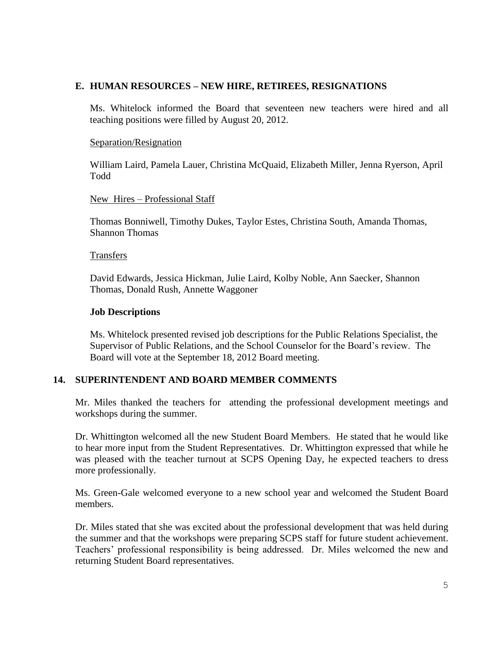# **E. HUMAN RESOURCES – NEW HIRE, RETIREES, RESIGNATIONS**

Ms. Whitelock informed the Board that seventeen new teachers were hired and all teaching positions were filled by August 20, 2012.

# Separation/Resignation

William Laird, Pamela Lauer, Christina McQuaid, Elizabeth Miller, Jenna Ryerson, April Todd

### New Hires – Professional Staff

Thomas Bonniwell, Timothy Dukes, Taylor Estes, Christina South, Amanda Thomas, Shannon Thomas

#### Transfers

David Edwards, Jessica Hickman, Julie Laird, Kolby Noble, Ann Saecker, Shannon Thomas, Donald Rush, Annette Waggoner

### **Job Descriptions**

Ms. Whitelock presented revised job descriptions for the Public Relations Specialist, the Supervisor of Public Relations, and the School Counselor for the Board's review. The Board will vote at the September 18, 2012 Board meeting.

# **14. SUPERINTENDENT AND BOARD MEMBER COMMENTS**

Mr. Miles thanked the teachers for attending the professional development meetings and workshops during the summer.

Dr. Whittington welcomed all the new Student Board Members. He stated that he would like to hear more input from the Student Representatives. Dr. Whittington expressed that while he was pleased with the teacher turnout at SCPS Opening Day, he expected teachers to dress more professionally.

Ms. Green-Gale welcomed everyone to a new school year and welcomed the Student Board members.

Dr. Miles stated that she was excited about the professional development that was held during the summer and that the workshops were preparing SCPS staff for future student achievement. Teachers' professional responsibility is being addressed. Dr. Miles welcomed the new and returning Student Board representatives.